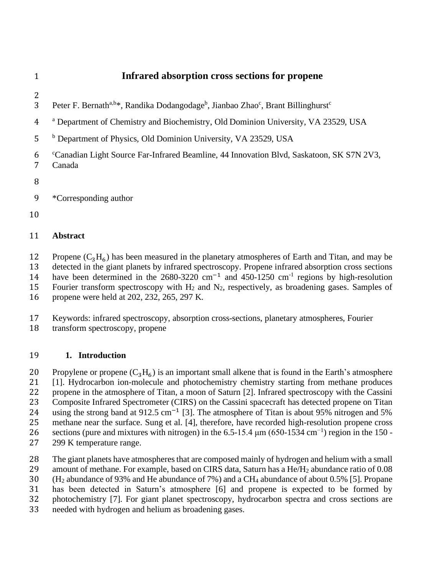## **Infrared absorption cross sections for propene**

- 
- 3 Peter F. Bernath<sup>a,b\*</sup>, Randika Dodangodage<sup>b</sup>, Jianbao Zhao<sup>c</sup>, Brant Billinghurst<sup>c</sup>
- <sup>a</sup> Department of Chemistry and Biochemistry, Old Dominion University, VA 23529, USA
- <sup>b</sup> Department of Physics, Old Dominion University, VA 23529, USA
- <sup>c</sup> Canadian Light Source Far-Infrared Beamline, 44 Innovation Blvd, Saskatoon, SK S7N 2V3, Canada
- 
- \*Corresponding author
- 

### **Abstract**

12 Propene  $(C_3H_6)$  has been measured in the planetary atmospheres of Earth and Titan, and may be

detected in the giant planets by infrared spectroscopy. Propene infrared absorption cross sections

14 have been determined in the 2680-3220 cm<sup>-1</sup> and 450-1250 cm<sup>-1</sup> regions by high-resolution 15 Fourier transform spectroscopy with  $H_2$  and  $N_2$ , respectively, as broadening gases. Samples of

- 
- propene were held at 202, 232, 265, 297 K.

### Keywords: infrared spectroscopy, absorption cross-sections, planetary atmospheres, Fourier

transform spectroscopy, propene

### **1. Introduction**

20 Propylene or propene  $(C_3H_6)$  is an important small alkene that is found in the Earth's atmosphere<br>21 [1]. Hydrocarbon ion-molecule and photochemistry chemistry starting from methane produces [1]. Hydrocarbon ion-molecule and photochemistry chemistry starting from methane produces propene in the atmosphere of Titan, a moon of Saturn [2]. Infrared spectroscopy with the Cassini

Composite Infrared Spectrometer (CIRS) on the Cassini spacecraft has detected propene on Titan

- 24 using the strong band at 912.5 cm<sup>-1</sup> [3]. The atmosphere of Titan is about 95% nitrogen and 5%
- methane near the surface. Sung et al. [4], therefore, have recorded high-resolution propene cross
- sections (pure and mixtures with nitrogen) in the 6.5-15.4  $\mu$ m (650-1534 cm<sup>-1</sup>) region in the 150 -
- 299 K temperature range.
- The giant planets have atmospheres that are composed mainly of hydrogen and helium with a small
- 29 amount of methane. For example, based on CIRS data, Saturn has a He/H<sub>2</sub> abundance ratio of 0.08
- (H<sup>2</sup> abundance of 93% and He abundance of 7%) and a CH<sup>4</sup> abundance of about 0.5% [5]. Propane
- has been detected in Saturn's atmosphere [6] and propene is expected to be formed by
- photochemistry [7]. For giant planet spectroscopy, hydrocarbon spectra and cross sections are
- needed with hydrogen and helium as broadening gases.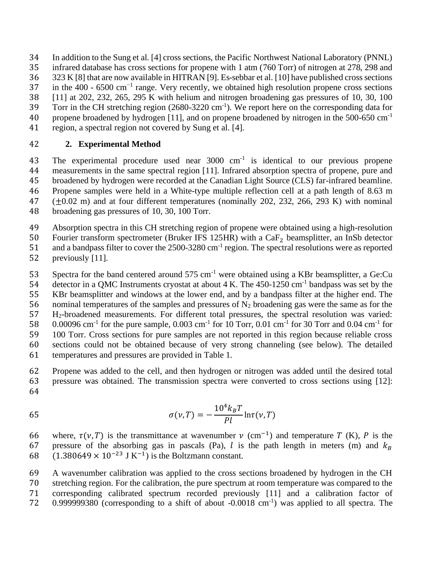In addition to the Sung et al. [4] cross sections, the Pacific Northwest National Laboratory (PNNL)

infrared database has cross sections for propene with 1 atm (760 Torr) of nitrogen at 278, 298 and

323 [K \[8\]](https://www.sciencedirect.com/science/article/pii/S0022407321002314#bib0017) that are now available in HITRA[N \[9\].](https://www.sciencedirect.com/science/article/pii/S0022407321002314#bib0018) Es-sebbar et al. [\[10\]](https://www.sciencedirect.com/science/article/pii/S0022407321002314#bib0019) have published cross sections

in the 400 - 6500 cm<sup>-1</sup> range. Very recently, we obtained high resolution propene cross sections

- [11] at 202, 232, 265, 295 K with helium and nitrogen broadening gas pressures of 10, 30, 100
- Torr in the CH stretching region (2680-3220 cm<sup>-1</sup>). We report here on the corresponding data for 40 propene broadened by hydrogen [11], and on propene broadened by nitrogen in the 500-650  $cm^{-1}$
- region, a spectral region not covered by Sung et al. [4].

# **2. Experimental Method**

43 The experimental procedure used near  $3000 \text{ cm}^{-1}$  is identical to our previous propene measurements in the same spectral region [11]. Infrared absorption spectra of propene, pure and broadened by hydrogen were recorded at the Canadian Light Source (CLS) far-infrared beamline. Propene samples were held in a White-type multiple reflection cell at a path length of 8.63 m (±0.02 m) and at four different temperatures (nominally 202, 232, 266, 293 K) with nominal broadening gas pressures of 10, 30, 100 Torr.

Absorption spectra in this CH stretching region of propene were obtained using a high-resolution

50 Fourier transform spectrometer (Bruker IFS 125HR) with a  $CaF_2$  beamsplitter, an InSb detector<br>51 and a bandpass filter to cover the 2500-3280 cm<sup>-1</sup> region. The spectral resolutions were as reported

and a bandpass filter to cover the  $2500-3280 \text{ cm}^{-1}$  region. The spectral resolutions were as reported

- previously [11].
- 53 Spectra for the band centered around  $575 \text{ cm}^{-1}$  were obtained using a KBr beamsplitter, a Ge:Cu

54 detector in a QMC Instruments cryostat at about 4 K. The  $450-1250$  cm<sup>-1</sup> bandpass was set by the

KBr beamsplitter and windows at the lower end, and by a bandpass filter at the higher end. The

56 nominal temperatures of the samples and pressures of  $N_2$  broadening gas were the same as for the

H2-broadened measurements. For different total pressures, the spectral resolution was varied:

58 0.00096 cm<sup>-1</sup> for the pure sample, 0.003 cm<sup>-1</sup> for 10 Torr, 0.01 cm<sup>-1</sup> for 30 Torr and 0.04 cm<sup>-1</sup> for

 100 Torr. Cross sections for pure samples are not reported in this region because reliable cross sections could not be obtained because of very strong channeling (see below). The detailed

temperatures and pressures are provided in Table 1.

 Propene was added to the cell, and then hydrogen or nitrogen was added until the desired total pressure was obtained. The transmission spectra were converted to cross sections using [12]: 

$$
\sigma(\nu, T) = -\frac{10^4 k_B T}{Pl} \ln \tau(\nu, T)
$$

66 where,  $\tau(v, T)$  is the transmittance at wavenumber  $v$  (cm<sup>-1</sup>) and temperature T (K), P is the 67 pressure of the absorbing gas in pascals (Pa), *l* is the path length in meters (m) and  $k_B$  (1.380649 × 10<sup>-23</sup> J K<sup>-1</sup>) is the Boltzmann constant.  $(1.380649 \times 10^{-23} \text{ J K}^{-1})$  is the Boltzmann constant.

 A wavenumber calibration was applied to the cross sections broadened by hydrogen in the CH stretching region. For the calibration, the pure spectrum at room temperature was compared to the corresponding calibrated spectrum recorded previously [11] and a calibration factor of 72 0.999999380 (corresponding to a shift of about  $-0.0018$  cm<sup>-1</sup>) was applied to all spectra. The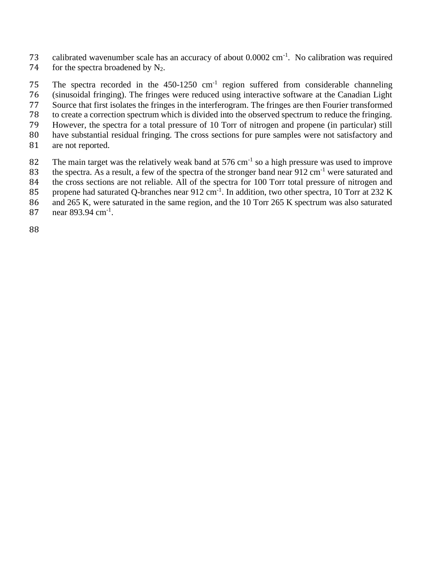73 calibrated wavenumber scale has an accuracy of about  $0.0002 \text{ cm}^{-1}$ . No calibration was required 74 for the spectra broadened by  $N_2$ .

The spectra recorded in the  $450-1250$  cm<sup>-1</sup> region suffered from considerable channeling (sinusoidal fringing). The fringes were reduced using interactive software at the Canadian Light Source that first isolates the fringes in the interferogram. The fringes are then Fourier transformed to create a correction spectrum which is divided into the observed spectrum to reduce the fringing. However, the spectra for a total pressure of 10 Torr of nitrogen and propene (in particular) still have substantial residual fringing. The cross sections for pure samples were not satisfactory and are not reported. 82 The main target was the relatively weak band at  $576 \text{ cm}^{-1}$  so a high pressure was used to improve

- 83 the spectra. As a result, a few of the spectra of the stronger band near  $912 \text{ cm}^{-1}$  were saturated and
- 84 the cross sections are not reliable. All of the spectra for 100 Torr total pressure of nitrogen and
- 85 propene had saturated Q-branches near  $912 \text{ cm}^{-1}$ . In addition, two other spectra, 10 Torr at 232 K
- 86 and 265 K, were saturated in the same region, and the 10 Torr 265 K spectrum was also saturated
- 87 near  $893.94 \text{ cm}^{-1}$ .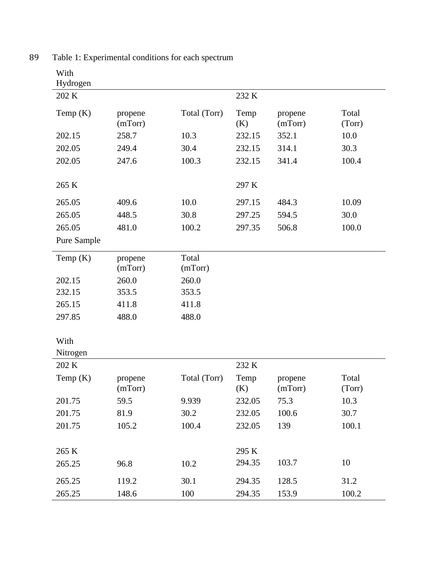| 202 K       |                    |                  | 232 K       |                    |                 |
|-------------|--------------------|------------------|-------------|--------------------|-----------------|
| Temp $(K)$  | propene<br>(mTorr) | Total (Torr)     | Temp<br>(K) | propene<br>(mTorr) | Total<br>(Torr) |
| 202.15      | 258.7              | 10.3             | 232.15      | 352.1              | 10.0            |
| 202.05      | 249.4              | 30.4             | 232.15      | 314.1              | 30.3            |
| 202.05      | 247.6              | 100.3            | 232.15      | 341.4              | 100.4           |
| 265 K       |                    |                  | 297 K       |                    |                 |
| 265.05      | 409.6              | 10.0             | 297.15      | 484.3              | 10.09           |
| 265.05      | 448.5              | 30.8             | 297.25      | 594.5              | 30.0            |
| 265.05      | 481.0              | 100.2            | 297.35      | 506.8              | 100.0           |
| Pure Sample |                    |                  |             |                    |                 |
| Temp $(K)$  | propene<br>(mTorr) | Total<br>(mTorr) |             |                    |                 |
| 202.15      | 260.0              | 260.0            |             |                    |                 |
| 232.15      | 353.5              | 353.5            |             |                    |                 |
| 265.15      | 411.8              | 411.8            |             |                    |                 |
| 297.85      | 488.0              | 488.0            |             |                    |                 |
| With        |                    |                  |             |                    |                 |
| Nitrogen    |                    |                  |             |                    |                 |
| 202 K       |                    |                  | 232 K       |                    |                 |
| Temp $(K)$  | propene<br>(mTorr) | Total (Torr)     | Temp<br>(K) | propene<br>(mTorr) | Total<br>(Torr) |
| 201.75      | 59.5               | 9.939            | 232.05      | 75.3               | 10.3            |
| 201.75      | 81.9               | 30.2             | 232.05      | 100.6              | 30.7            |
| 201.75      | 105.2              | 100.4            | 232.05      | 139                | 100.1           |
| 265 K       |                    |                  | 295 K       |                    |                 |
| 265.25      | 96.8               | 10.2             | 294.35      | 103.7              | 10              |
| 265.25      | 119.2              | 30.1             | 294.35      | 128.5              | 31.2            |
| 265.25      | 148.6              | 100              | 294.35      | 153.9              | 100.2           |

89 Table 1: Experimental conditions for each spectrum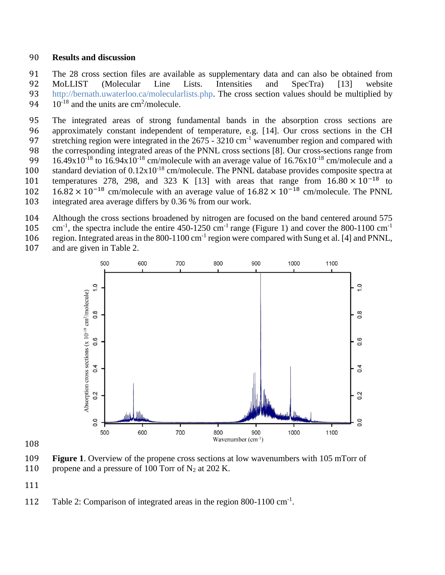#### **Results and discussion**

 The 28 cross section files are available as supplementary data and can also be obtained from MoLLIST (Molecular Line Lists. Intensities and SpecTra) [13] website [http://bernath.uwaterloo.ca/molecularlists.php.](http://bernath.uwaterloo.ca/molecularlists.php) The cross section values should be multiplied by  $10^{-18}$  and the units are cm<sup>2</sup>/molecule.

 The integrated areas of strong fundamental bands in the absorption cross sections are approximately constant independent of temperature, e.g. [14]. Our cross sections in the CH 97 stretching region were integrated in the  $2675 - 3210$  cm<sup>-1</sup> wavenumber region and compared with the corresponding integrated areas of the PNNL cross sections [8]. Our cross-sections range from 99 16.49x10<sup>-18</sup> to 16.94x10<sup>-18</sup> cm/molecule with an average value of 16.76x10<sup>-18</sup> cm/molecule and a 100 standard deviation of  $0.12x10^{-18}$  cm/molecule. The PNNL database provides composite spectra at temperatures 278, 298, and 323 K [13] with areas that range from  $16.80 \times 10^{-18}$  to 102 16.82 × 10<sup>-18</sup> cm/molecule with an average value of  $16.82 \times 10^{-18}$  cm/molecule. The PNNL integrated area average differs by 0.36 % from our work.

- Although the cross sections broadened by nitrogen are focused on the band centered around 575
- cm<sup>-1</sup>, the spectra include the entire 450-1250 cm<sup>-1</sup> range (Figure 1) and cover the 800-1100 cm<sup>-1</sup>
- 106 region. Integrated areas in the 800-1100 cm<sup>-1</sup> region were compared with Sung et al. [4] and PNNL, and are given in Table 2.



 **Figure 1**. Overview of the propene cross sections at low wavenumbers with 105 mTorr of 110 propene and a pressure of 100 Torr of  $N_2$  at 202 K.

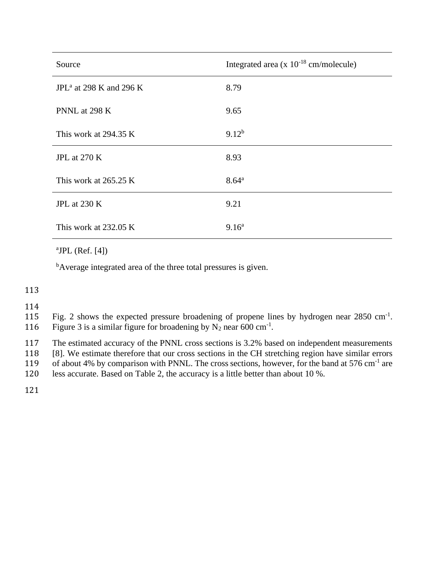| Source                              | Integrated area $(x 10^{-18}$ cm/molecule) |
|-------------------------------------|--------------------------------------------|
| JPL <sup>a</sup> at 298 K and 296 K | 8.79                                       |
| PNNL at 298 K                       | 9.65                                       |
| This work at $294.35 \text{ K}$     | $9.12^{b}$                                 |
| <b>JPL</b> at 270 K                 | 8.93                                       |
| This work at 265.25 K               | $8.64^{\rm a}$                             |
| JPL at 230 K                        | 9.21                                       |
| This work at 232.05 K               | 9.16 <sup>a</sup>                          |

 $a$ JPL (Ref. [4])

<sup>b</sup>Average integrated area of the three total pressures is given.

113

114

115 Fig. 2 shows the expected pressure broadening of propene lines by hydrogen near  $2850 \text{ cm}^{-1}$ .

116 Figure 3 is a similar figure for broadening by  $N_2$  near 600 cm<sup>-1</sup>.

117 The estimated accuracy of the PNNL cross sections is 3.2% based on independent measurements

118 [8]. We estimate therefore that our cross sections in the CH stretching region have similar errors

119 of about 4% by comparison with PNNL. The cross sections, however, for the band at  $576 \text{ cm}^{-1}$  are

120 less accurate. Based on Table 2, the accuracy is a little better than about 10 %.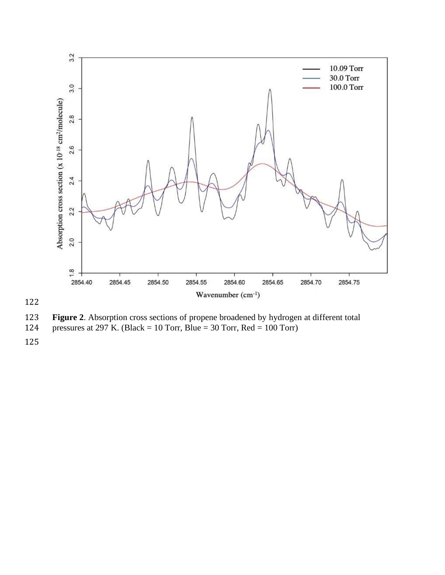

122

**Figure 2.** Absorption cross sections of propene broadened by hydrogen at different total pressures at 297 K. (Black = 10 Torr, Blue = 30 Torr, Red = 100 Torr)

pressures at 297 K. (Black = 10 Torr, Blue = 30 Torr, Red = 100 Torr)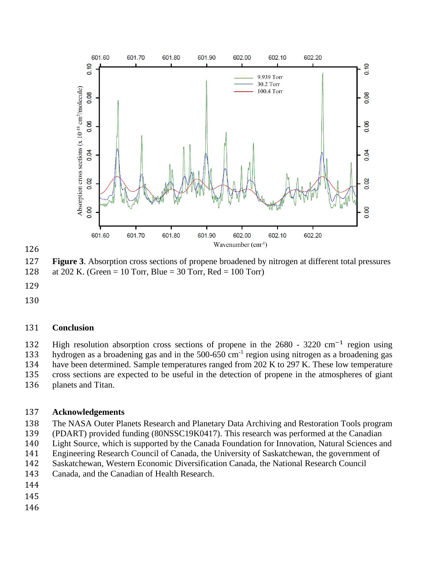



 **Figure 3**. Absorption cross sections of propene broadened by nitrogen at different total pressures at 202 K. (Green = 10 Torr, Blue = 30 Torr, Red = 100 Torr)

- 
- 

### **Conclusion**

High resolution absorption cross sections of propene in the 2680 - 3220 cm<sup>-1</sup> region using hydrogen as a broadening gas and in the  $500-650$  cm<sup>-1</sup> region using nitrogen as a broadening gas

have been determined. Sample temperatures ranged from 202 K to 297 K. These low temperature

cross sections are expected to be useful in the detection of propene in the atmospheres of giant

planets and Titan.

### **Acknowledgements**

- The NASA Outer Planets Research and Planetary Data Archiving and Restoration Tools program
- (PDART) provided funding (80NSSC19K0417). This research was performed at the Canadian
- Light Source, which is supported by the Canada Foundation for Innovation, Natural Sciences and
- Engineering Research Council of Canada, the University of Saskatchewan, the government of
- Saskatchewan, Western Economic Diversification Canada, the National Research Council
- Canada, and the Canadian of Health Research.
- 
- 
-